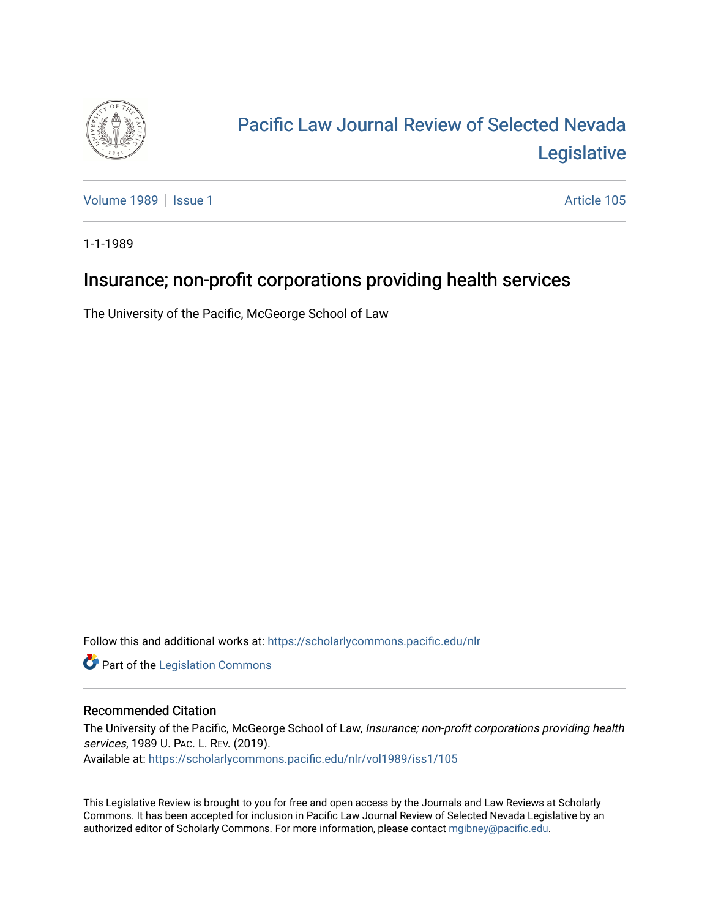

# [Pacific Law Journal Review of Selected Nevada](https://scholarlycommons.pacific.edu/nlr)  [Legislative](https://scholarlycommons.pacific.edu/nlr)

[Volume 1989](https://scholarlycommons.pacific.edu/nlr/vol1989) | [Issue 1](https://scholarlycommons.pacific.edu/nlr/vol1989/iss1) Article 105

1-1-1989

# Insurance; non-profit corporations providing health services

The University of the Pacific, McGeorge School of Law

Follow this and additional works at: [https://scholarlycommons.pacific.edu/nlr](https://scholarlycommons.pacific.edu/nlr?utm_source=scholarlycommons.pacific.edu%2Fnlr%2Fvol1989%2Fiss1%2F105&utm_medium=PDF&utm_campaign=PDFCoverPages) 

**Part of the [Legislation Commons](http://network.bepress.com/hgg/discipline/859?utm_source=scholarlycommons.pacific.edu%2Fnlr%2Fvol1989%2Fiss1%2F105&utm_medium=PDF&utm_campaign=PDFCoverPages)** 

## Recommended Citation

The University of the Pacific, McGeorge School of Law, Insurance; non-profit corporations providing health services, 1989 U. PAC. L. REV. (2019). Available at: [https://scholarlycommons.pacific.edu/nlr/vol1989/iss1/105](https://scholarlycommons.pacific.edu/nlr/vol1989/iss1/105?utm_source=scholarlycommons.pacific.edu%2Fnlr%2Fvol1989%2Fiss1%2F105&utm_medium=PDF&utm_campaign=PDFCoverPages) 

This Legislative Review is brought to you for free and open access by the Journals and Law Reviews at Scholarly Commons. It has been accepted for inclusion in Pacific Law Journal Review of Selected Nevada Legislative by an authorized editor of Scholarly Commons. For more information, please contact [mgibney@pacific.edu](mailto:mgibney@pacific.edu).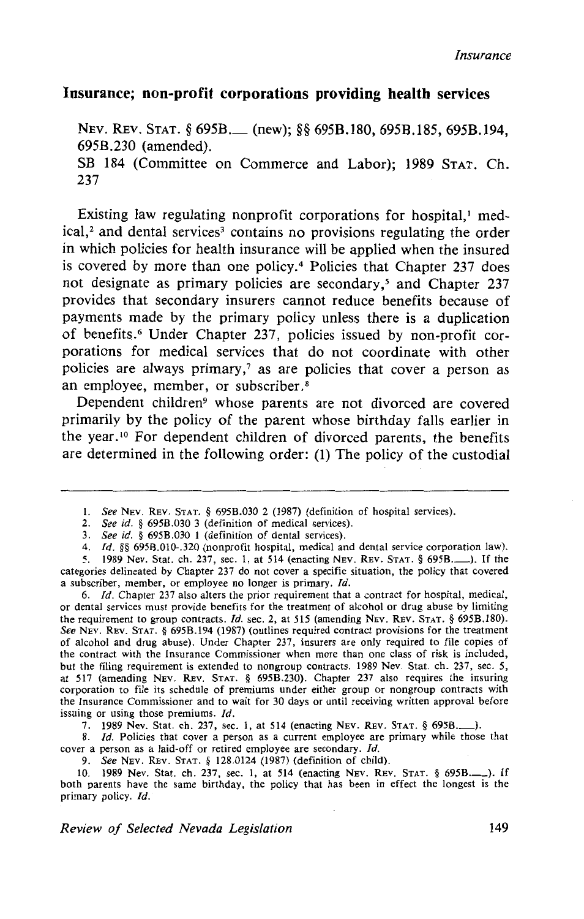### **Insurance; non-profit corporations providing health services**

NEV. REV. STAT. § 695B. (new); §§ 695B.180, 695B.185, 695B.194, 695B.230 (amended). SB 184 (Committee on Commerce and Labor); 1989 STAT. Ch. 237

Existing law regulating nonprofit corporations for hospital,<sup>1</sup> med $ical$ , and dental services<sup>3</sup> contains no provisions regulating the order in which policies for health insurance will be applied when the insured is covered by more than one policy.<sup>4</sup> Policies that Chapter 237 does not designate as primary policies are secondary,<sup>5</sup> and Chapter 237 provides that secondary insurers cannot reduce benefits because of payments made by the primary policy unless there is a duplication of benefits. 6 Under Chapter 237, policies issued by non-profit corporations for medical services that do not coordinate with other policies are always primary, 7 as are policies that cover a person as an employee, member, or subscriber. 8

Dependent children<sup>9</sup> whose parents are not divorced are covered primarily by the policy of the parent whose birthday falls earlier in the year. 10 For dependent children of divorced parents, the benefits are determined in the following order: (1) The policy of the custodial

6. */d.* Chapter 237 also alters the prior requirement that a contract for hospital, medical, or dental services must provide benefits for the treatment of alcohol or drug abuse by limiting the requirement to group contracts. *Id.* sec. 2, at 515 (amending NEV. REV. STAT. § 695B.180). *See* NEV. REV. STAT. § 695B.194 (1987) (outlines required contract provisions for the treatment of alcohol and drug abuse). Under Chapter 237, insurers are only required to file copies of the contract with the Insurance Commissioner when more than one class of risk is included, but the filing requirement is extended to nongroup contracts. 1989 Nev. Stat. ch. 237, sec. 5, at 517 (amending NEv. REv. STAT. § 695B.230). Chapter 237 also requires the insuring corporation to file its schedule of premiums under either group or nongroup contracts with the Insurance Commissioner and to wait for 30 days or until receiving written approval before issuing or using those premiums. */d.* 

7. 1989 Nev. Stat. ch. 237, sec. I, at 514 (enacting NEv. REv. STAT.§ 695B.\_).

8. *Id*. Policies that cover a person as a current employee are primary while those that cover a person as a laid-off or retired employee are secondary. Id.

9. *See* NEv. REv. STAT. § 128.0124 (1987) (definition of child).

10. 1989 Nev. Stat. ch. 237, sec. 1, at 514 (enacting Nev. Rev. STAT. § 695B.........). If both parents have the same birthday, the policy that has been in effect the longest is the primary policy. */d.* 

*Review of Selected Nevada Legislation* 149

I. *See* NEv. REv. STAT. § 695B.030 2 (1987) (definition of hospital services).

<sup>2.</sup> *See id.* § 695B.030 3 (definition of medical services).

<sup>3.</sup> *See id.* § 695B.030 1 (definition of dental services).

<sup>4.</sup> */d.* §§ 695B.OI0-.320 (nonprofit hospital, medical and dental service corporation law).

<sup>5. 1989</sup> Nev. Stat. ch. 237, sec. 1, at 514 (enacting NEv. REv. STAT.§ 695B.\_). If the categories delineated by Chapter 237 do not cover a specific situation, the policy that covered a subscriber, member, or employee no longer is primary.  $Id$ .